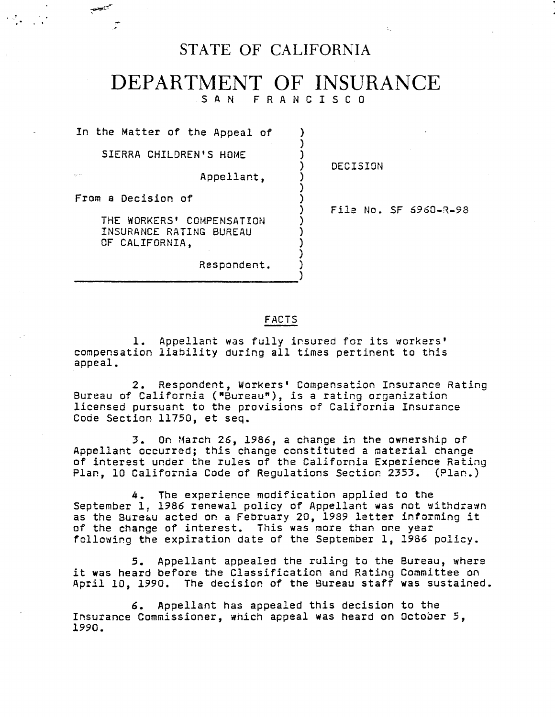# STATE OF CALIFORNIA

## DEPARTMENT OF INSURANCE F R A N C I S C 0

) ) )

> ) ) )

) ) ) )

)

In the Matter of the Appeal of

SIERRA CHILDREN'S HOME

Appellant,

) DECISION

From a Decision of

THE WORKERS' COMPENSATION INSURANCE RATING BUREAU OF CALIFORNIA,

Respondent.

) File No. SF 6960-R-98

### FACTS

1. Appellant was fully insured for its workers' compensation liability during all times pertinent to this appeal.

2. Respondent, Workers• Compensation Insurance Rating Bureau of California ("Bureau"), *is* a rating organization licensed pursuant to the provisions of California Insurance Code Section 11750, et seq.

- 3. On March 26, 1986, a change in the ownership of Appellant occurred; this change constituted a material change of interest under the rules of the California Experience Rating Plan, 10 California Code of Regulations Section 2353. (Plan.)

4. The experience modification applied to the September 1, 1986 renewal policy of Appellant was not withdrawn as the Bureau acted on a February 20, 1989 letter informing it of the change of interest. This was more than one year following the expiration date of the September 1, 1986 policy.

5. Appellant appealed the rulirg to the Bureau, where it was heard before the Classification and Rating Committee on April 10, 1990. The decision of the Bureau staff was sustained.

6. Appellant has appealed this decision to the Insurance Commissioner, which appeal was heard on October 5, 1990.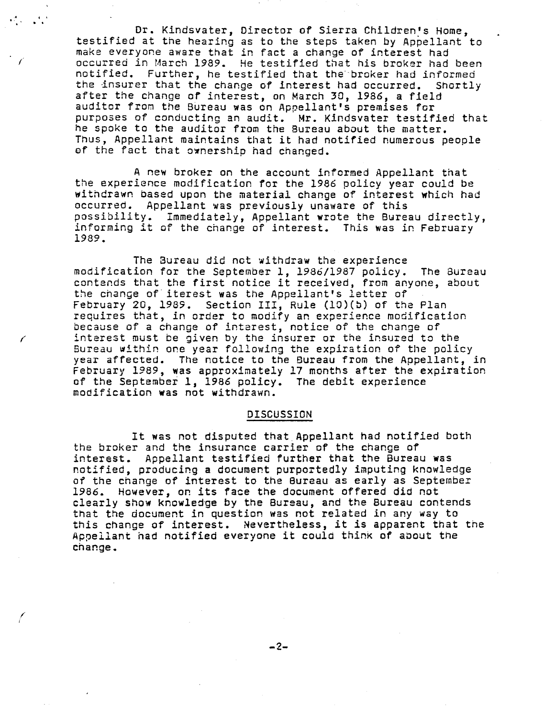Dr. Kindsvater, Director of Sierra Children's Home, testified at the hearing as to the steps taken by Appellant to make everyone aware that in fact a change of interest had *(* occurred in March 1989. He testified that his broker had been notified. Further, he testified that the· broker had informed the insurer that the change of interest had occurred. Shortly after the change *or* interest, on March 30, 1986, a field auditor from the Bureau was on Appellant's premises for purposes of conducting an audit. Mr. Kindsvater testified that he spoke to the auditor from the Bureau about the matter. Thus, Appellant maintains that it had notified numerous people of the fact that ownership had changed.

.<br>البراء <sub>--</sub> 111

A new broker on the account informed Appellant that the experience modification for the 1986 policy year could be withdrawn based upon the material change of interest **which** had occurred. Appellant was previously unaware of this possibility. Immediately, Appellant wrote the Bwreau directly, informing it of the change of interest. This was in February 1989.

The 3ureau did not withdraw the experience modification for the September 1, 1986/1987 policy. The Bureau contends that the first notice it received, from anyone, about the change of iterest was the Appellant's letter of February 20, 1989. Section III, Rule (lO)(b) of the Plan requires that, in order to modify an experience modification because of a change of interest, notice of the change of interest must be given by the insurer or the insured to the Bureau within one year following the expiration of the policy year affected. The notice to the Bureau from the Appellant, in February 1989, was approximately 17 months after the expiration of the September 1, 1986 policy. The debit experience modification was not withdrawn.

#### DISCUSSION

It was not disputed that Appellant had notified bath the broker and the insurance carrier of the change of interest. Appellant testified further that the Bureau was notified, producing a document purportedly imputing knowledge of the change of interest to the Bureau as early as September 1986. However, or. its face the document offered did not clearly show knowledge by the Bureau, and the Bureau contends that the document in question was not related in any way to this change of interest. Nevertheless, it is apparent that the Appellant had notified everyone it could think of about the change.